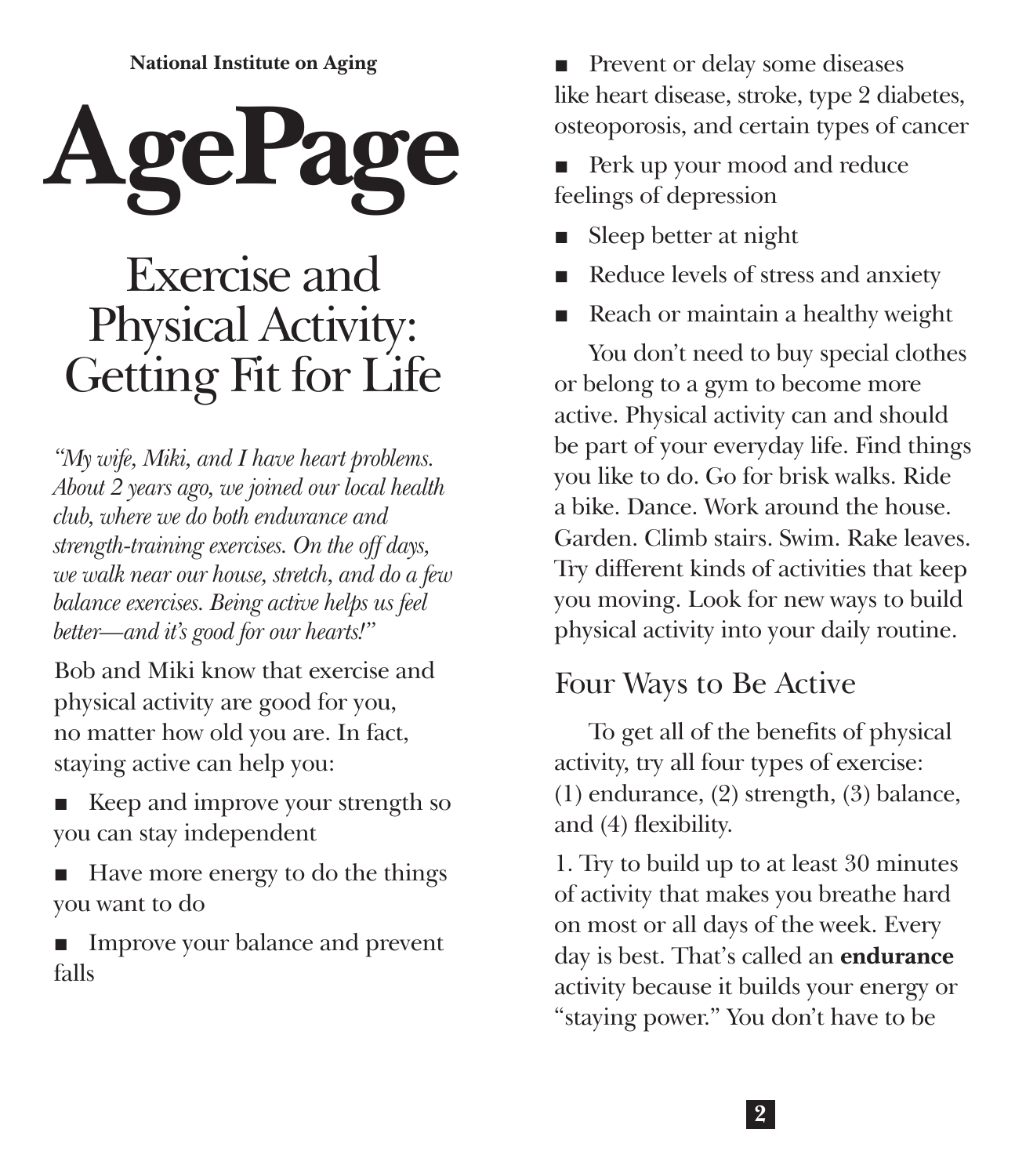**National Institute on Aging**



# Exercise and Physical Activity: Getting Fit for Life

*"My wife, Miki, and I have heart problems. About 2 years ago, we joined our local health club, where we do both endurance and strength-training exercises. On the off days, we walk near our house, stretch, and do a few balance exercises. Being active helps us feel better—and it's good for our hearts!"*

Bob and Miki know that exercise and physical activity are good for you, no matter how old you are. In fact, staying active can help you:

- Keep and improve your strength so you can stay independent
- Have more energy to do the things you want to do

■ Improve your balance and prevent falls

■ Prevent or delay some diseases like heart disease, stroke, type 2 diabetes, osteoporosis, and certain types of cancer

Perk up your mood and reduce feelings of depression

- Sleep better at night
- Reduce levels of stress and anxiety
- Reach or maintain a healthy weight

You don't need to buy special clothes or belong to a gym to become more active. Physical activity can and should be part of your everyday life. Find things you like to do. Go for brisk walks. Ride a bike. Dance. Work around the house. Garden. Climb stairs. Swim. Rake leaves. Try different kinds of activities that keep you moving. Look for new ways to build physical activity into your daily routine.

### Four Ways to Be Active

To get all of the benefits of physical activity, try all four types of exercise: (1) endurance, (2) strength, (3) balance, and (4) flexibility.

1. Try to build up to at least 30 minutes of activity that makes you breathe hard on most or all days of the week. Every day is best. That's called an **endurance** activity because it builds your energy or "staying power." You don't have to be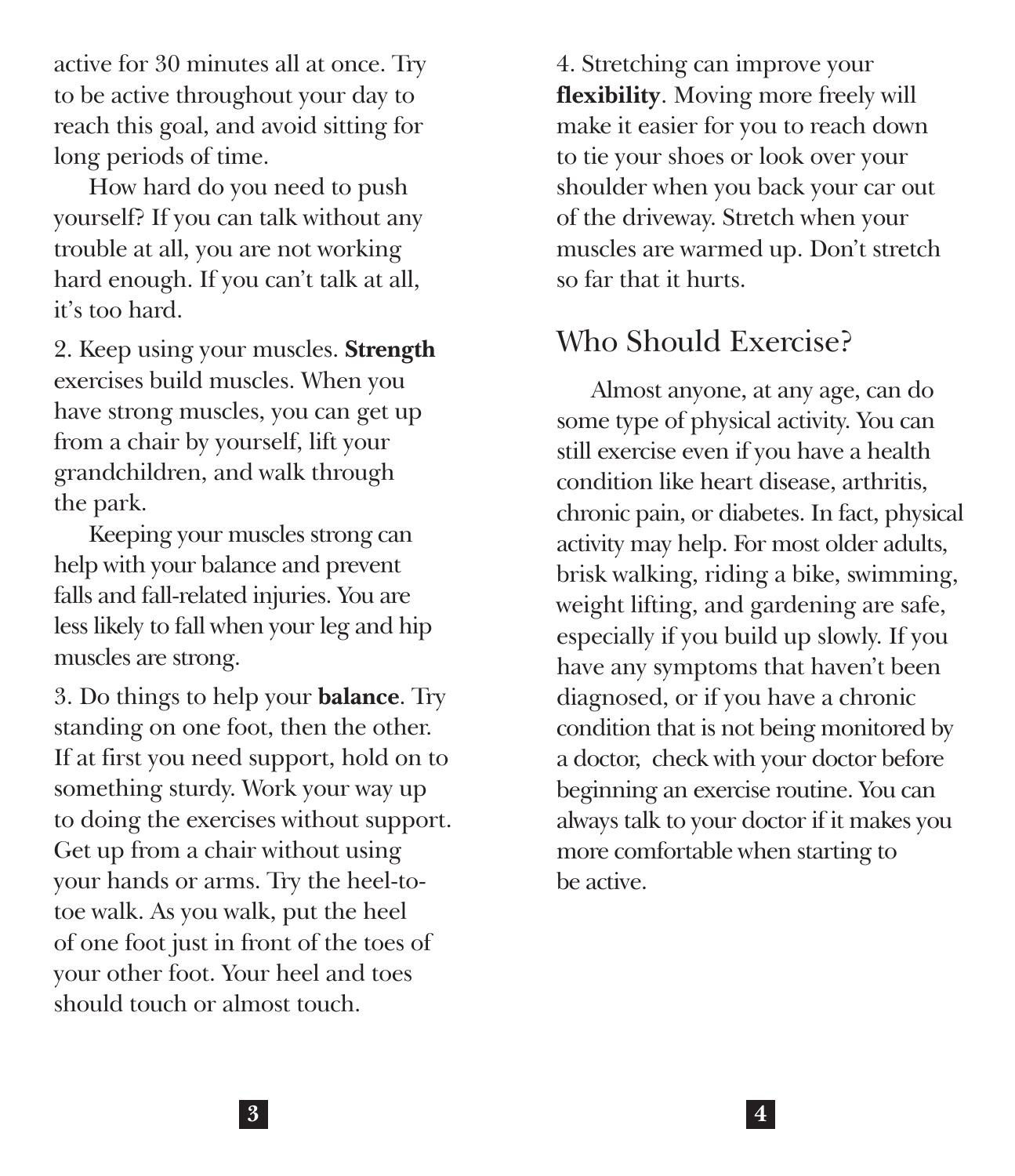active for 30 minutes all at once. Try to be active throughout your day to reach this goal, and avoid sitting for long periods of time.

How hard do you need to push yourself? If you can talk without any trouble at all, you are not working hard enough. If you can't talk at all, it's too hard.

2. Keep using your muscles. **Strength** exercises build muscles. When you have strong muscles, you can get up from a chair by yourself, lift your grandchildren, and walk through the park.

Keeping your muscles strong can help with your balance and prevent falls and fall-related injuries. You are less likely to fall when your leg and hip muscles are strong.

3. Do things to help your **balance**. Try standing on one foot, then the other. If at first you need support, hold on to something sturdy. Work your way up to doing the exercises without support. Get up from a chair without using your hands or arms. Try the heel-totoe walk. As you walk, put the heel of one foot just in front of the toes of your other foot. Your heel and toes should touch or almost touch.

4. Stretching can improve your **flexibility**. Moving more freely will make it easier for you to reach down to tie your shoes or look over your shoulder when you back your car out of the driveway. Stretch when your muscles are warmed up. Don't stretch so far that it hurts.

# Who Should Exercise?

Almost anyone, at any age, can do some type of physical activity. You can still exercise even if you have a health condition like heart disease, arthritis, chronic pain, or diabetes. In fact, physical activity may help. For most older adults, brisk walking, riding a bike, swimming, weight lifting, and gardening are safe, especially if you build up slowly. If you have any symptoms that haven't been diagnosed, or if you have a chronic condition that is not being monitored by a doctor, check with your doctor before beginning an exercise routine. You can always talk to your doctor if it makes you more comfortable when starting to be active.

**3 4**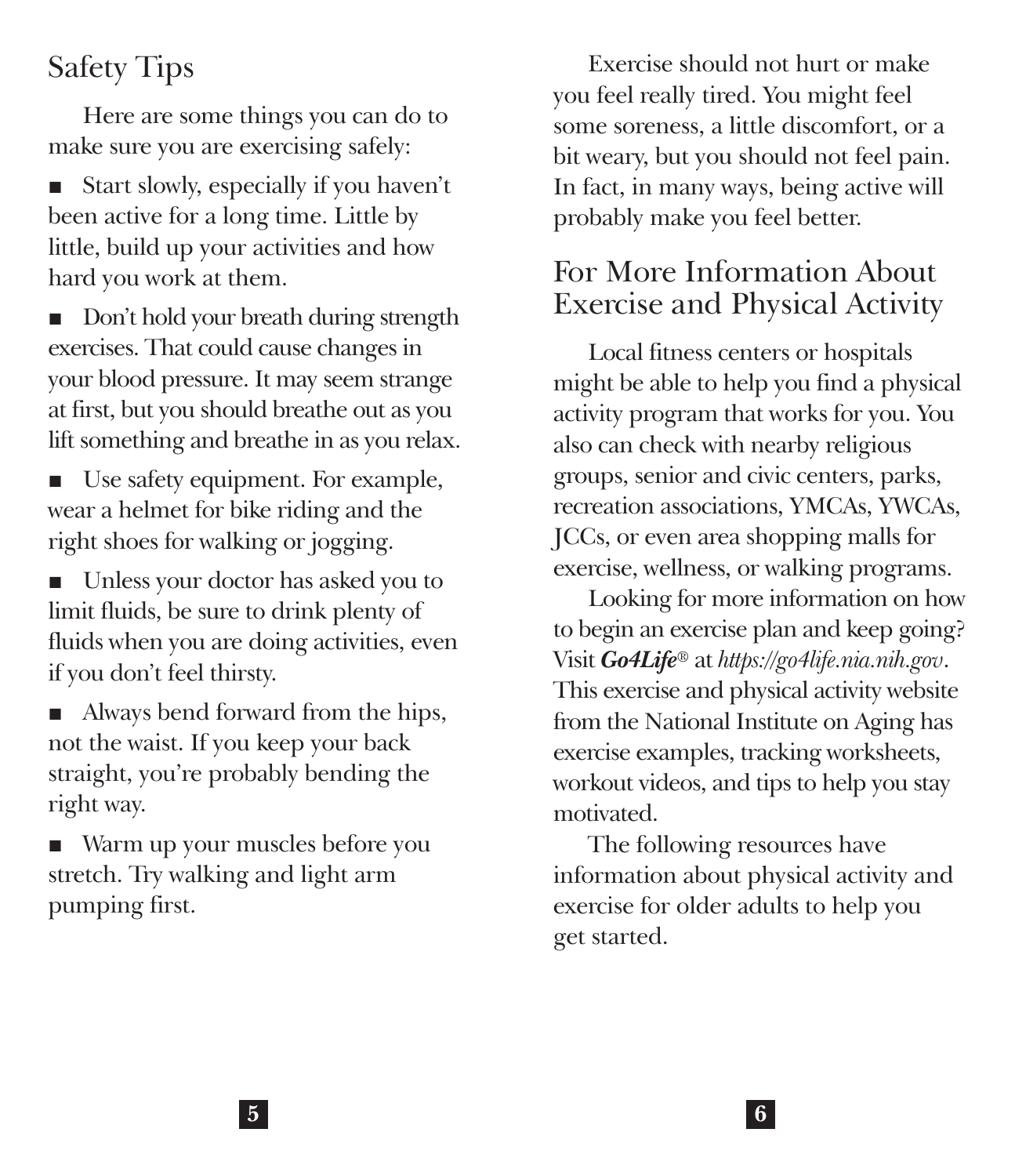# Safety Tips

Here are some things you can do to make sure you are exercising safely:

Start slowly, especially if you haven't been active for a long time. Little by little, build up your activities and how hard you work at them.

Don't hold your breath during strength exercises. That could cause changes in your blood pressure. It may seem strange at first, but you should breathe out as you lift something and breathe in as you relax.

Use safety equipment. For example, wear a helmet for bike riding and the right shoes for walking or jogging.

■ Unless your doctor has asked you to limit fluids, be sure to drink plenty of fluids when you are doing activities, even if you don't feel thirsty.

■ Always bend forward from the hips, not the waist. If you keep your back straight, you're probably bending the right way.

■ Warm up your muscles before you stretch. Try walking and light arm pumping first.

Exercise should not hurt or make you feel really tired. You might feel some soreness, a little discomfort, or a bit weary, but you should not feel pain. In fact, in many ways, being active will probably make you feel better.

## For More Information About Exercise and Physical Activity

Local fitness centers or hospitals might be able to help you find a physical activity program that works for you. You also can check with nearby religious groups, senior and civic centers, parks, recreation associations, YMCAs, YWCAs, JCCs, or even area shopping malls for exercise, wellness, or walking programs.

Looking for more information on how to begin an exercise plan and keep going? Visit *Go4Life®* at *<https://go4life.nia.nih.gov>*. This exercise and physical activity website from the National Institute on Aging has exercise examples, tracking worksheets, workout videos, and tips to help you stay motivated.

The following resources have information about physical activity and exercise for older adults to help you get started.